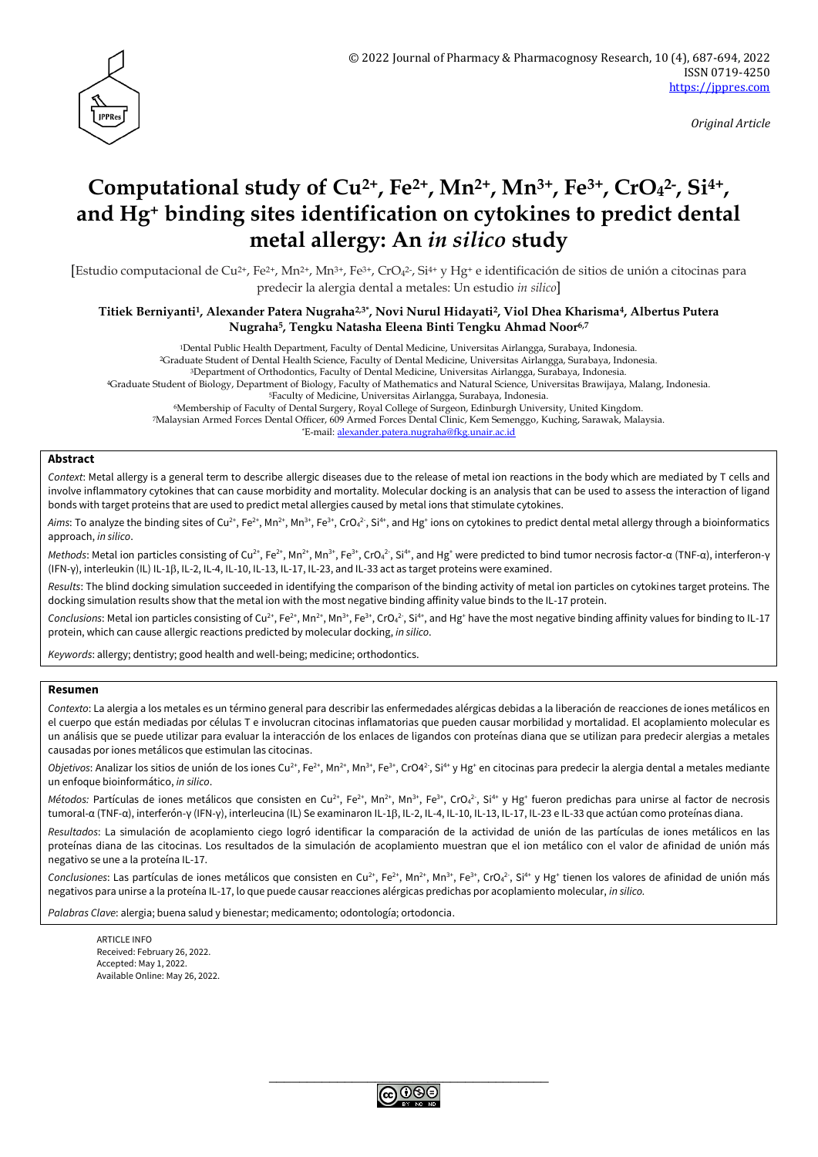

*Original Article*

# **Computational study of Cu2+, Fe2+, Mn2+, Mn3+, Fe3+, CrO<sup>4</sup> 2- , Si4+ , and Hg<sup>+</sup> binding sites identification on cytokines to predict dental metal allergy: An** *in silico* **study**

[Estudio computacional de Cu<sup>2+</sup>, Fe<sup>2+</sup>, Mn<sup>2+</sup>, Mn<sup>3+</sup>, Fe<sup>3+</sup>, CrO<sub>4</sub><sup>2</sup>, Si<sup>4+</sup> y Hg<sup>+</sup> e identificación de sitios de unión a citocinas para predecir la alergia dental a metales: Un estudio *in silico*]

#### **Titiek Berniyanti1, Alexander Patera Nugraha2,3\*, Novi Nurul Hidayati2, Viol Dhea Kharisma4, Albertus Putera Nugraha5, Tengku Natasha Eleena Binti Tengku Ahmad Noor6,7**

Dental Public Health Department, Faculty of Dental Medicine, Universitas Airlangga, Surabaya, Indonesia. Graduate Student of Dental Health Science, Faculty of Dental Medicine, Universitas Airlangga, Surabaya, Indonesia. Department of Orthodontics, Faculty of Dental Medicine, Universitas Airlangga, Surabaya, Indonesia. Graduate Student of Biology, Department of Biology, Faculty of Mathematics and Natural Science, Universitas Brawijaya, Malang, Indonesia. Faculty of Medicine, Universitas Airlangga, Surabaya, Indonesia. Membership of Faculty of Dental Surgery, Royal College of Surgeon, Edinburgh University, United Kingdom. Malaysian Armed Forces Dental Officer, 609 Armed Forces Dental Clinic, Kem Semenggo, Kuching, Sarawak, Malaysia.

\*E-mail: [alexander.patera.nugraha@fkg.unair.ac.id](mailto:alexander.patera.nugraha@fkg.unair.ac.id)

## **Abstract**

*Context*: Metal allergy is a general term to describe allergic diseases due to the release of metal ion reactions in the body which are mediated by T cells and involve inflammatory cytokines that can cause morbidity and mortality. Molecular docking is an analysis that can be used to assess the interaction of ligand bonds with target proteins that are used to predict metal allergies caused by metal ions that stimulate cytokines.

Aims: To analyze the binding sites of Cu<sup>2+</sup>, Fe<sup>2+</sup>, Mn<sup>2+</sup>, Mn<sup>3+</sup>, Fe<sup>3+</sup>, CrO<sub>4</sub><sup>2</sup> , Si<sup>4+</sup>, and Hg<sup>+</sup> ions on cytokines to predict dental metal allergy through a bioinformatics approach, *in silico*.

Methods: Metal ion particles consisting of Cu<sup>2+</sup>, Fe<sup>2+</sup>, Mn<sup>2+</sup>, Mn<sup>3+</sup>, Fe<sup>3+</sup>, CrO<sub>4</sub><sup>2</sup>, Si<sup>4+</sup>, and Hg<sup>+</sup> were predicted to bind tumor necrosis factor-α (TNF-α), interferon-γ (IFN-γ), interleukin (IL) IL-1β, IL-2, IL-4, IL-10, IL-13, IL-17, IL-23, and IL-33 act as target proteins were examined.

*Results*: The blind docking simulation succeeded in identifying the comparison of the binding activity of metal ion particles on cytokines target proteins. The docking simulation results show that the metal ion with the most negative binding affinity value binds to the IL-17 protein.

Conclusions: Metal ion particles consisting of Cu<sup>2+</sup>, Fe<sup>2+</sup>, Mn<sup>2+</sup>, Mn<sup>3+</sup>, Fe<sup>3+</sup>, CrO<sub>4</sub><sup>2</sup>, Si<sup>4+</sup>, and Hg<sup>+</sup> have the most negative binding affinity values for binding to IL-17 protein, which can cause allergic reactions predicted by molecular docking, *in silico*.

*Keywords*: allergy; dentistry; good health and well-being; medicine; orthodontics.

#### **Resumen**

*Contexto*: La alergia a los metales es un término general para describir las enfermedades alérgicas debidas a la liberación de reacciones de iones metálicos en el cuerpo que están mediadas por células T e involucran citocinas inflamatorias que pueden causar morbilidad y mortalidad. El acoplamiento molecular es un análisis que se puede utilizar para evaluar la interacción de los enlaces de ligandos con proteínas diana que se utilizan para predecir alergias a metales causadas por iones metálicos que estimulan las citocinas.

Objetivos: Analizar los sitios de unión de los iones Cu<sup>2+</sup>, Fe<sup>2+</sup>, Mn<sup>2+</sup>, Mn<sup>3+</sup>, Fe<sup>3+</sup>, CrO4<sup>2</sup>, Si<sup>4+</sup> y Hg<sup>+</sup> en citocinas para predecir la alergia dental a metales mediante un enfoque bioinformático, *in silico*.

Métodos: Partículas de iones metálicos que consisten en Cu<sup>2+</sup>, Fe<sup>2+</sup>, Mn<sup>2+</sup>, Mn<sup>3+</sup>, Fe<sup>3+</sup>, CrO<sub>4</sub><sup>2</sup>, Si<sup>4+</sup> y Hg<sup>+</sup> fueron predichas para unirse al factor de necrosis tumoral-α (TNF-α), interferón-γ (IFN-γ), interleucina (IL) Se examinaron IL-1β, IL-2, IL-4, IL-10, IL-13, IL-17, IL-23 e IL-33 que actúan como proteínas diana.

*Resultados*: La simulación de acoplamiento ciego logró identificar la comparación de la actividad de unión de las partículas de iones metálicos en las proteínas diana de las citocinas. Los resultados de la simulación de acoplamiento muestran que el ion metálico con el valor de afinidad de unión más negativo se une a la proteína IL-17.

Conclusiones: Las partículas de iones metálicos que consisten en Cu<sup>2+</sup>, Fe<sup>2+</sup>, Mn<sup>2+</sup>, Mn<sup>3+</sup>, Fe<sup>3+</sup>, CrO<sub>4</sub><sup>2</sup>, Si<sup>4+</sup> y Hg<sup>+</sup> tienen los valores de afinidad de unión más negativos para unirse a la proteína IL-17, lo que puede causar reacciones alérgicas predichas por acoplamiento molecular, *in silico.*

*Palabras Clave*: alergia; buena salud y bienestar; medicamento; odontología; ortodoncia.

**ARTICLE INFO** Received: February 26, 2022. Accepted: May 1, 2022. Available Online: May 26, 2022.

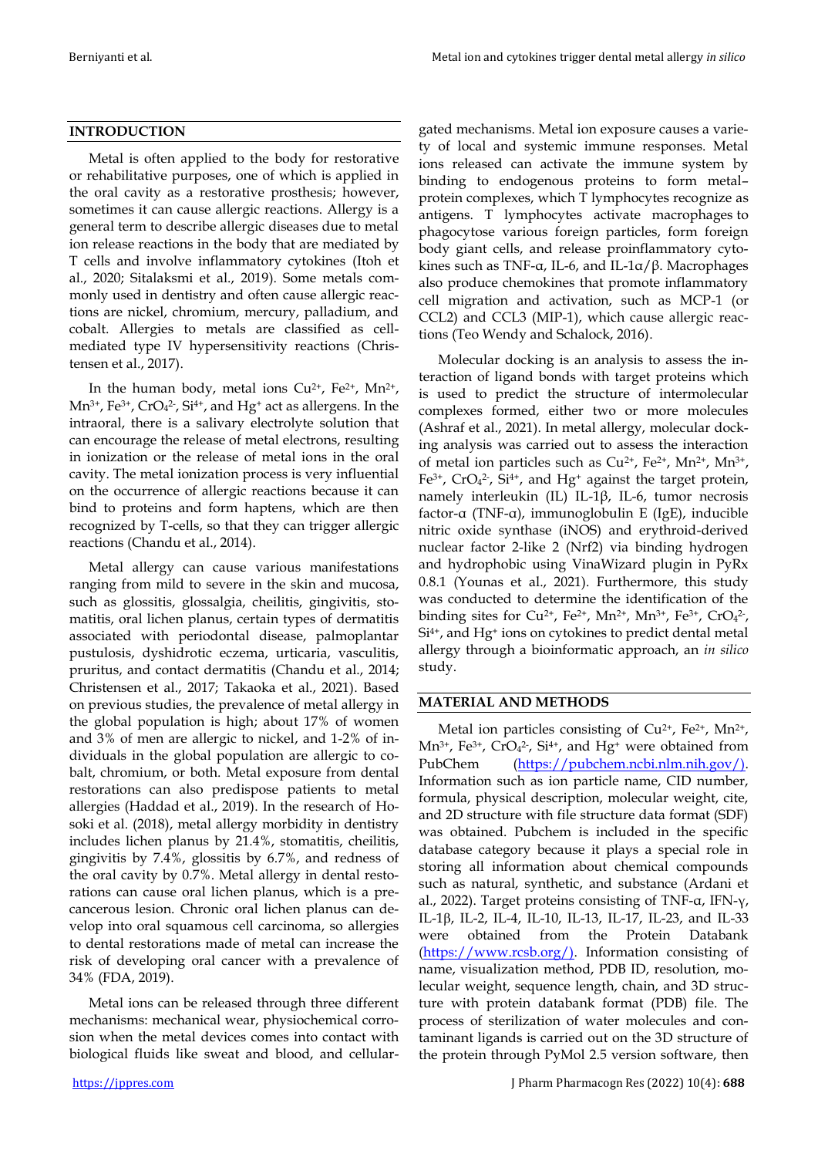# **INTRODUCTION**

Metal is often applied to the body for restorative or rehabilitative purposes, one of which is applied in the oral cavity as a restorative prosthesis; however, sometimes it can cause allergic reactions. Allergy is a general term to describe allergic diseases due to metal ion release reactions in the body that are mediated by T cells and involve inflammatory cytokines (Itoh et al., 2020; Sitalaksmi et al., 2019). Some metals commonly used in dentistry and often cause allergic reactions are nickel, chromium, mercury, palladium, and cobalt. Allergies to metals are classified as cellmediated type IV hypersensitivity reactions (Christensen et al., 2017).

In the human body, metal ions  $Cu^{2+}$ ,  $Fe^{2+}$ ,  $Mn^{2+}$ ,  $Mn^{3+}$ , Fe<sup>3+</sup>, CrO<sub>4</sub><sup>2-</sup>, Si<sup>4+</sup>, and Hg<sup>+</sup> act as allergens. In the intraoral, there is a salivary electrolyte solution that can encourage the release of metal electrons, resulting in ionization or the release of metal ions in the oral cavity. The metal ionization process is very influential on the occurrence of allergic reactions because it can bind to proteins and form haptens, which are then recognized by T-cells, so that they can trigger allergic reactions (Chandu et al., 2014).

Metal allergy can cause various manifestations ranging from mild to severe in the skin and mucosa, such as glossitis, glossalgia, cheilitis, gingivitis, stomatitis, oral lichen planus, certain types of dermatitis associated with periodontal disease, palmoplantar pustulosis, dyshidrotic eczema, urticaria, vasculitis, pruritus, and contact dermatitis (Chandu et al., 2014; Christensen et al., 2017; Takaoka et al., 2021). Based on previous studies, the prevalence of metal allergy in the global population is high; about 17% of women and 3% of men are allergic to nickel, and 1-2% of individuals in the global population are allergic to cobalt, chromium, or both. Metal exposure from dental restorations can also predispose patients to metal allergies (Haddad et al., 2019). In the research of Hosoki et al. (2018), metal allergy morbidity in dentistry includes lichen planus by 21.4%, stomatitis, cheilitis, gingivitis by 7.4%, glossitis by 6.7%, and redness of the oral cavity by 0.7%. Metal allergy in dental restorations can cause oral lichen planus, which is a precancerous lesion. Chronic oral lichen planus can develop into oral squamous cell carcinoma, so allergies to dental restorations made of metal can increase the risk of developing oral cancer with a prevalence of 34% (FDA, 2019).

Metal ions can be released through three different mechanisms: mechanical wear, physiochemical corrosion when the metal devices comes into contact with biological fluids like sweat and blood, and cellular-

gated mechanisms. Metal ion exposure causes a variety of local and systemic immune responses. Metal ions released can activate the immune system by binding to endogenous proteins to form metal– protein complexes, which T lymphocytes recognize as antigens. T lymphocytes activate macrophages to phagocytose various foreign particles, form foreign body giant cells, and release proinflammatory cytokines such as TNF-α, IL-6, and IL-1α/β. Macrophages also produce chemokines that promote inflammatory cell migration and activation, such as MCP-1 (or CCL2) and CCL3 (MIP-1), which cause allergic reactions (Teo Wendy and Schalock, 2016).

Molecular docking is an analysis to assess the interaction of ligand bonds with target proteins which is used to predict the structure of intermolecular complexes formed, either two or more molecules (Ashraf et al., 2021). In metal allergy, molecular docking analysis was carried out to assess the interaction of metal ion particles such as  $Cu^{2+}$ ,  $Fe^{2+}$ ,  $Mn^{2+}$ ,  $Mn^{3+}$ ,  $Fe^{3+}$ , CrO<sub>4</sub><sup>2</sup>-, Si<sup>4+</sup>, and Hg<sup>+</sup> against the target protein, namely interleukin (IL) IL-1β, IL-6, tumor necrosis factor-α (TNF-α), immunoglobulin E (IgE), inducible nitric oxide synthase (iNOS) and erythroid-derived nuclear factor 2-like 2 (Nrf2) via binding hydrogen and hydrophobic using VinaWizard plugin in PyRx 0.8.1 (Younas et al., 2021). Furthermore, this study was conducted to determine the identification of the binding sites for Cu<sup>2+</sup>, Fe<sup>2+</sup>, Mn<sup>2+</sup>, Mn<sup>3+</sup>, Fe<sup>3+</sup>, CrO<sub>4</sub><sup>2-</sup>,  $Si<sup>4+</sup>$ , and Hg<sup>+</sup> ions on cytokines to predict dental metal allergy through a bioinformatic approach, an *in silico* study.

# **MATERIAL AND METHODS**

Metal ion particles consisting of Cu<sup>2+</sup>, Fe<sup>2+</sup>, Mn<sup>2+</sup>,  $Mn^{3+}$ , Fe<sup>3+</sup>, CrO<sub>4</sub><sup>2-</sup>, Si<sup>4+</sup>, and Hg<sup>+</sup> were obtained from PubChem [\(https://pubchem.ncbi.nlm.nih.gov/\).](https://pubchem.ncbi.nlm.nih.gov/)) Information such as ion particle name, CID number, formula, physical description, molecular weight, cite, and 2D structure with file structure data format (SDF) was obtained. Pubchem is included in the specific database category because it plays a special role in storing all information about chemical compounds such as natural, synthetic, and substance (Ardani et al., 2022). Target proteins consisting of TNF-α, IFN-γ, IL-1, IL-2, IL-4, IL-10, IL-13, IL-17, IL-23, and IL-33 were obtained from the Protein Databank [\(https://www.rcsb.org/\).](https://www.rcsb.org/)) Information consisting of name, visualization method, PDB ID, resolution, molecular weight, sequence length, chain, and 3D structure with protein databank format (PDB) file. The process of sterilization of water molecules and contaminant ligands is carried out on the 3D structure of the protein through PyMol 2.5 version software, then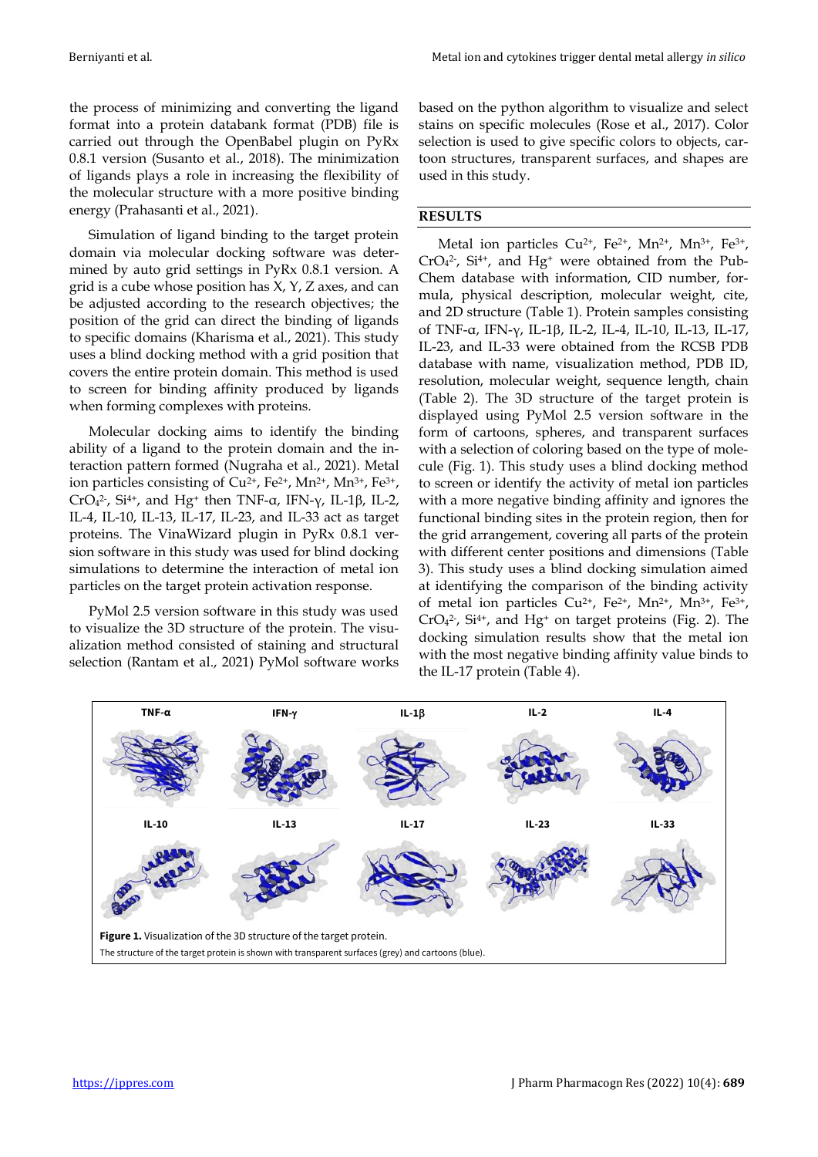the process of minimizing and converting the ligand format into a protein databank format (PDB) file is carried out through the OpenBabel plugin on PyRx 0.8.1 version (Susanto et al., 2018). The minimization of ligands plays a role in increasing the flexibility of the molecular structure with a more positive binding energy (Prahasanti et al., 2021).

Simulation of ligand binding to the target protein domain via molecular docking software was determined by auto grid settings in PyRx 0.8.1 version. A grid is a cube whose position has X, Y, Z axes, and can be adjusted according to the research objectives; the position of the grid can direct the binding of ligands to specific domains (Kharisma et al., 2021). This study uses a blind docking method with a grid position that covers the entire protein domain. This method is used to screen for binding affinity produced by ligands when forming complexes with proteins.

Molecular docking aims to identify the binding ability of a ligand to the protein domain and the interaction pattern formed (Nugraha et al., 2021). Metal ion particles consisting of  $Cu^{2+}$ , Fe<sup>2+</sup>, Mn<sup>2+</sup>, Mn<sup>3+</sup>, Fe<sup>3+</sup>, CrO<sub>4</sub><sup>2</sup>, Si<sup>4+</sup>, and Hg<sup>+</sup> then TNF- $\alpha$ , IFN- $\gamma$ , IL-1 $\beta$ , IL-2, IL-4, IL-10, IL-13, IL-17, IL-23, and IL-33 act as target proteins. The VinaWizard plugin in PyRx 0.8.1 version software in this study was used for blind docking simulations to determine the interaction of metal ion particles on the target protein activation response.

PyMol 2.5 version software in this study was used to visualize the 3D structure of the protein. The visualization method consisted of staining and structural selection (Rantam et al., 2021) PyMol software works

based on the python algorithm to visualize and select stains on specific molecules (Rose et al., 2017). Color selection is used to give specific colors to objects, cartoon structures, transparent surfaces, and shapes are used in this study.

# **RESULTS**

Metal ion particles Cu<sup>2+</sup>, Fe<sup>2+</sup>, Mn<sup>2+</sup>, Mn<sup>3+</sup>, Fe<sup>3+</sup>,  $CrO<sub>4</sub><sup>2</sup>$ , Si<sup>4+</sup>, and Hg<sup>+</sup> were obtained from the Pub-Chem database with information, CID number, formula, physical description, molecular weight, cite, and 2D structure (Table 1). Protein samples consisting of TNF-α, IFN-γ, IL-1β, IL-2, IL-4, IL-10, IL-13, IL-17, IL-23, and IL-33 were obtained from the RCSB PDB database with name, visualization method, PDB ID, resolution, molecular weight, sequence length, chain (Table 2). The 3D structure of the target protein is displayed using PyMol 2.5 version software in the form of cartoons, spheres, and transparent surfaces with a selection of coloring based on the type of molecule (Fig. 1). This study uses a blind docking method to screen or identify the activity of metal ion particles with a more negative binding affinity and ignores the functional binding sites in the protein region, then for the grid arrangement, covering all parts of the protein with different center positions and dimensions (Table 3). This study uses a blind docking simulation aimed at identifying the comparison of the binding activity of metal ion particles  $Cu^{2+}$ ,  $Fe^{2+}$ ,  $Mn^{2+}$ ,  $Mn^{3+}$ ,  $Fe^{3+}$ ,  $CrO<sub>4</sub><sup>2</sup>$ , Si<sup>4+</sup>, and Hg<sup>+</sup> on target proteins (Fig. 2). The docking simulation results show that the metal ion with the most negative binding affinity value binds to the IL-17 protein (Table 4).

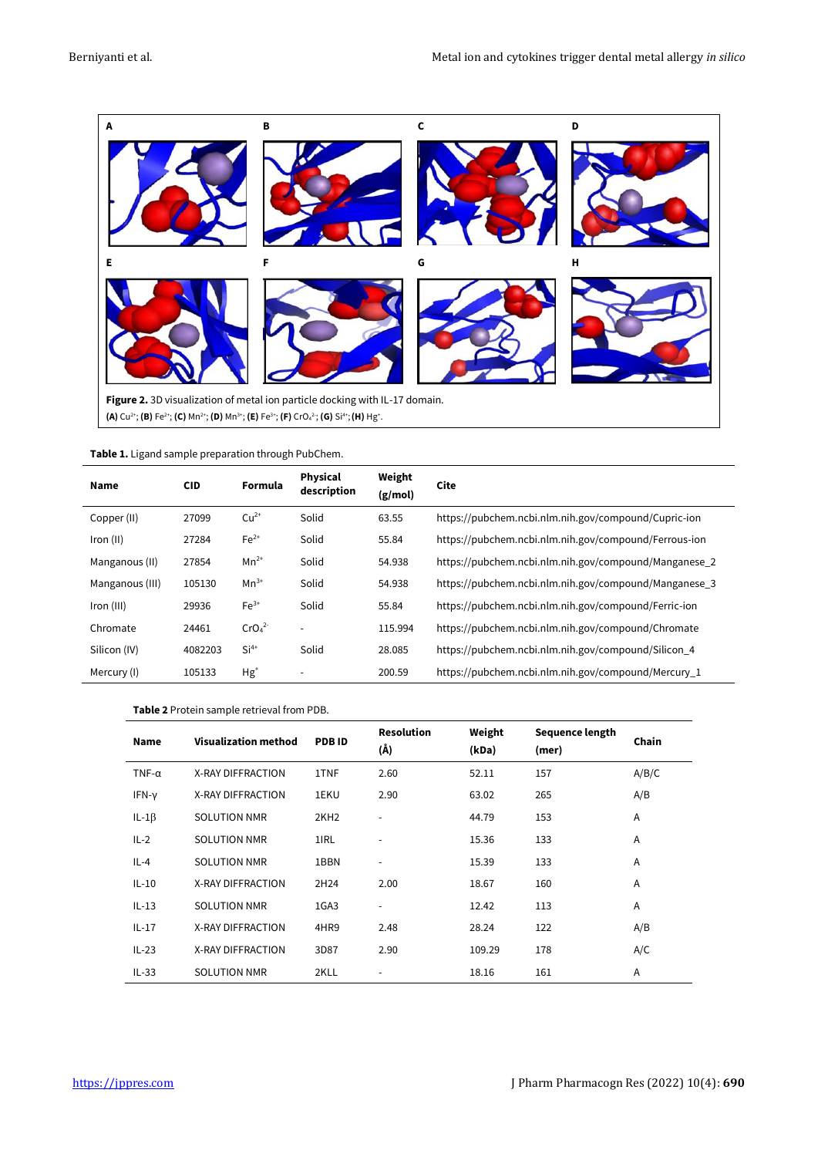

| Name            | <b>CID</b> | Formula                       | <b>Physical</b><br>description | Weight<br>(g/mol) | Cite                                                  |
|-----------------|------------|-------------------------------|--------------------------------|-------------------|-------------------------------------------------------|
| Copper (II)     | 27099      | $Cu2+$                        | Solid                          | 63.55             | https://pubchem.ncbi.nlm.nih.gov/compound/Cupric-ion  |
| Iron (II)       | 27284      | $Fe2+$                        | Solid                          | 55.84             | https://pubchem.ncbi.nlm.nih.gov/compound/Ferrous-ion |
| Manganous (II)  | 27854      | $Mn^{2+}$                     | Solid                          | 54.938            | https://pubchem.ncbi.nlm.nih.gov/compound/Manganese 2 |
| Manganous (III) | 105130     | $Mn^{3+}$                     | Solid                          | 54.938            | https://pubchem.ncbi.nlm.nih.gov/compound/Manganese_3 |
| Iron (III)      | 29936      | $Fe3+$                        | Solid                          | 55.84             | https://pubchem.ncbi.nlm.nih.gov/compound/Ferric-ion  |
| Chromate        | 24461      | CrO <sub>4</sub> <sup>2</sup> |                                | 115.994           | https://pubchem.ncbi.nlm.nih.gov/compound/Chromate    |
| Silicon (IV)    | 4082203    | $Si4+$                        | Solid                          | 28.085            | https://pubchem.ncbi.nlm.nih.gov/compound/Silicon_4   |
| Mercury (I)     | 105133     | $Hg^+$                        |                                | 200.59            | https://pubchem.ncbi.nlm.nih.gov/compound/Mercury 1   |

#### **Table 2** Protein sample retrieval from PDB.

| <b>Name</b>   | <b>Visualization method</b> | <b>PDBID</b>     | <b>Resolution</b><br>(Å) | Weight<br>(kDa) | Sequence length<br>(mer) | Chain |
|---------------|-----------------------------|------------------|--------------------------|-----------------|--------------------------|-------|
| TNF- $\alpha$ | X-RAY DIFFRACTION           | 1TNF             | 2.60                     | 52.11           | 157                      | A/B/C |
| IFN-y         | X-RAY DIFFRACTION           | 1EKU             | 2.90                     | 63.02           | 265                      | A/B   |
| $IL-1\beta$   | <b>SOLUTION NMR</b>         | 2KH <sub>2</sub> |                          | 44.79           | 153                      | A     |
| $IL-2$        | <b>SOLUTION NMR</b>         | 1IRL             |                          | 15.36           | 133                      | A     |
| $IL-4$        | <b>SOLUTION NMR</b>         | 1BBN             |                          | 15.39           | 133                      | A     |
| $IL-10$       | X-RAY DIFFRACTION           | 2H24             | 2.00                     | 18.67           | 160                      | A     |
| $IL-13$       | <b>SOLUTION NMR</b>         | 1GA3             |                          | 12.42           | 113                      | A     |
| $IL-17$       | X-RAY DIFFRACTION           | 4HR9             | 2.48                     | 28.24           | 122                      | A/B   |
| $IL-23$       | X-RAY DIFFRACTION           | 3D87             | 2.90                     | 109.29          | 178                      | A/C   |
| $IL-33$       | <b>SOLUTION NMR</b>         | 2KLL             |                          | 18.16           | 161                      | A     |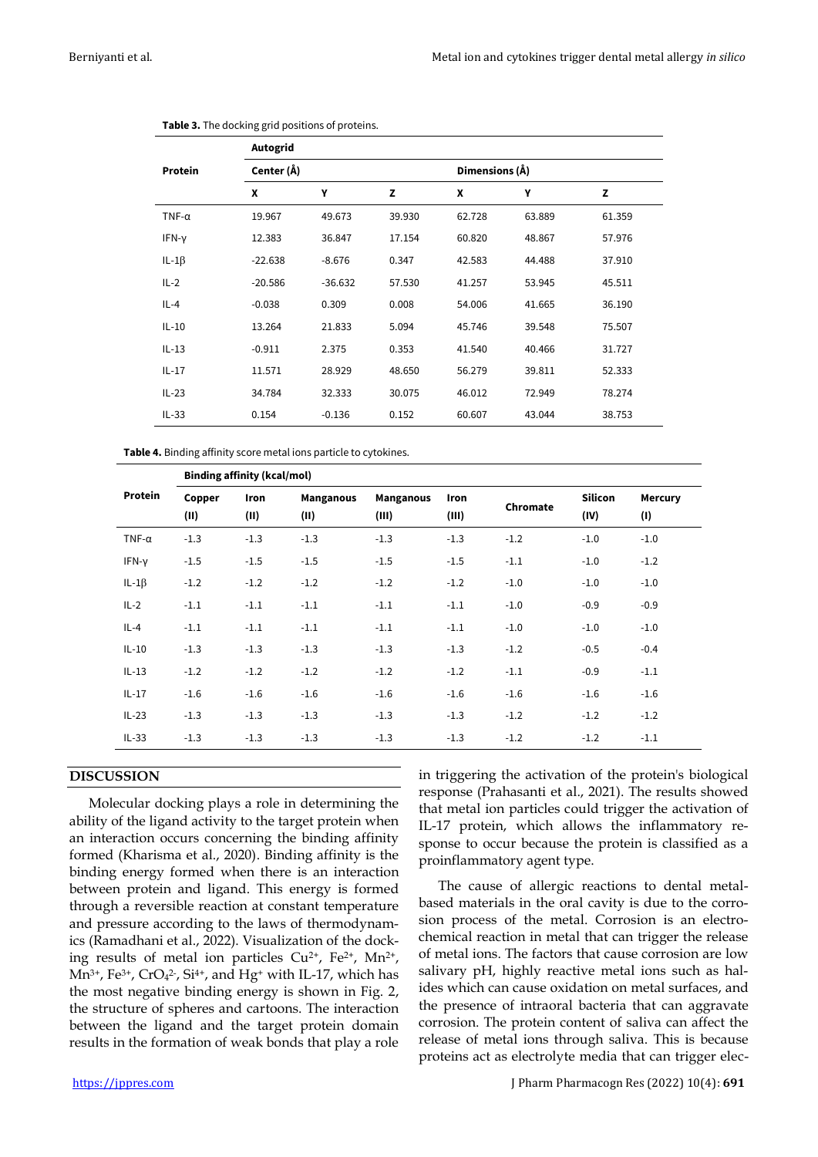|               | Autogrid   |           |        |        |                |        |  |  |  |
|---------------|------------|-----------|--------|--------|----------------|--------|--|--|--|
| Protein       | Center (Å) |           |        |        | Dimensions (Å) |        |  |  |  |
|               | X          | Υ         | z      | X      | Υ              | z      |  |  |  |
| TNF- $\alpha$ | 19.967     | 49.673    | 39.930 | 62.728 | 63.889         | 61.359 |  |  |  |
| IFN-y         | 12.383     | 36.847    | 17.154 | 60.820 | 48.867         | 57.976 |  |  |  |
| IL-1 $\beta$  | $-22.638$  | $-8.676$  | 0.347  | 42.583 | 44.488         | 37.910 |  |  |  |
| $IL-2$        | $-20.586$  | $-36.632$ | 57.530 | 41.257 | 53.945         | 45.511 |  |  |  |
| $IL-4$        | $-0.038$   | 0.309     | 0.008  | 54.006 | 41.665         | 36.190 |  |  |  |
| $IL-10$       | 13.264     | 21.833    | 5.094  | 45.746 | 39.548         | 75.507 |  |  |  |
| $IL-13$       | $-0.911$   | 2.375     | 0.353  | 41.540 | 40.466         | 31.727 |  |  |  |
| $IL-17$       | 11.571     | 28.929    | 48.650 | 56.279 | 39.811         | 52.333 |  |  |  |
| $IL-23$       | 34.784     | 32.333    | 30.075 | 46.012 | 72.949         | 78.274 |  |  |  |
| $IL-33$       | 0.154      | $-0.136$  | 0.152  | 60.607 | 43.044         | 38.753 |  |  |  |

|  | Table 3. The docking grid positions of proteins. |  |  |  |
|--|--------------------------------------------------|--|--|--|
|--|--------------------------------------------------|--|--|--|

**Table 4.** Binding affinity score metal ions particle to cytokines.

|               | <b>Binding affinity (kcal/mol)</b> |              |                          |                           |               |          |                        |                       |  |
|---------------|------------------------------------|--------------|--------------------------|---------------------------|---------------|----------|------------------------|-----------------------|--|
| Protein       | Copper<br>(II)                     | Iron<br>(II) | <b>Manganous</b><br>(II) | <b>Manganous</b><br>(III) | Iron<br>(III) | Chromate | <b>Silicon</b><br>(IV) | <b>Mercury</b><br>(1) |  |
| TNF- $\alpha$ | $-1.3$                             | $-1.3$       | $-1.3$                   | $-1.3$                    | $-1.3$        | $-1.2$   | $-1.0$                 | $-1.0$                |  |
| IFN-y         | $-1.5$                             | $-1.5$       | $-1.5$                   | $-1.5$                    | $-1.5$        | $-1.1$   | $-1.0$                 | $-1.2$                |  |
| $IL-1\beta$   | $-1.2$                             | $-1.2$       | $-1.2$                   | $-1.2$                    | $-1.2$        | $-1.0$   | $-1.0$                 | $-1.0$                |  |
| $IL-2$        | $-1.1$                             | $-1.1$       | $-1.1$                   | $-1.1$                    | $-1.1$        | $-1.0$   | $-0.9$                 | $-0.9$                |  |
| $IL-4$        | $-1.1$                             | $-1.1$       | $-1.1$                   | $-1.1$                    | $-1.1$        | $-1.0$   | $-1.0$                 | $-1.0$                |  |
| $IL-10$       | $-1.3$                             | $-1.3$       | $-1.3$                   | $-1.3$                    | $-1.3$        | $-1.2$   | $-0.5$                 | $-0.4$                |  |
| $IL-13$       | $-1.2$                             | $-1.2$       | $-1.2$                   | $-1.2$                    | $-1.2$        | $-1.1$   | $-0.9$                 | $-1.1$                |  |
| $IL-17$       | $-1.6$                             | $-1.6$       | $-1.6$                   | $-1.6$                    | $-1.6$        | $-1.6$   | $-1.6$                 | $-1.6$                |  |
| $IL-23$       | $-1.3$                             | $-1.3$       | $-1.3$                   | $-1.3$                    | $-1.3$        | $-1.2$   | $-1.2$                 | $-1.2$                |  |
| $IL-33$       | $-1.3$                             | $-1.3$       | $-1.3$                   | $-1.3$                    | $-1.3$        | $-1.2$   | $-1.2$                 | $-1.1$                |  |

# **DISCUSSION**

Molecular docking plays a role in determining the ability of the ligand activity to the target protein when an interaction occurs concerning the binding affinity formed (Kharisma et al., 2020). Binding affinity is the binding energy formed when there is an interaction between protein and ligand. This energy is formed through a reversible reaction at constant temperature and pressure according to the laws of thermodynamics (Ramadhani et al., 2022). Visualization of the docking results of metal ion particles  $Cu^{2+}$ ,  $Fe^{2+}$ ,  $Mn^{2+}$ ,  $Mn^{3+}$ , Fe<sup>3+</sup>, CrO<sub>4</sub><sup>2-</sup>, Si<sup>4+</sup>, and Hg<sup>+</sup> with IL-17, which has the most negative binding energy is shown in Fig. 2, the structure of spheres and cartoons. The interaction between the ligand and the target protein domain results in the formation of weak bonds that play a role

in triggering the activation of the protein's biological response (Prahasanti et al., 2021). The results showed that metal ion particles could trigger the activation of IL-17 protein, which allows the inflammatory response to occur because the protein is classified as a proinflammatory agent type.

The cause of allergic reactions to dental metalbased materials in the oral cavity is due to the corrosion process of the metal. Corrosion is an electrochemical reaction in metal that can trigger the release of metal ions. The factors that cause corrosion are low salivary pH, highly reactive metal ions such as halides which can cause oxidation on metal surfaces, and the presence of intraoral bacteria that can aggravate corrosion. The protein content of saliva can affect the release of metal ions through saliva. This is because proteins act as electrolyte media that can trigger elec-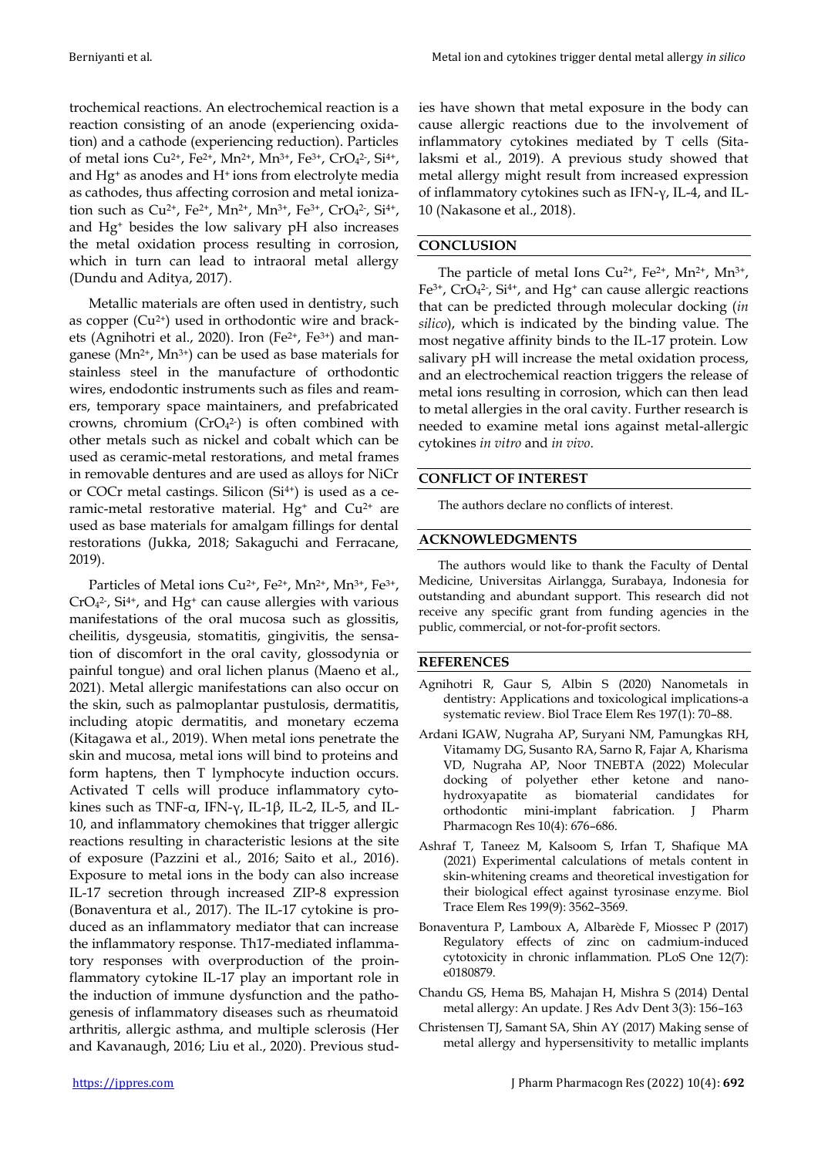trochemical reactions. An electrochemical reaction is a reaction consisting of an anode (experiencing oxidation) and a cathode (experiencing reduction). Particles of metal ions  $Cu^{2+}$ , Fe<sup>2+</sup>, Mn<sup>2+</sup>, Mn<sup>3+</sup>, Fe<sup>3+</sup>, CrO<sub>4</sub><sup>2</sup>-, Si<sup>4+</sup>, and Hg<sup>+</sup> as anodes and H+ ions from electrolyte media as cathodes, thus affecting corrosion and metal ionization such as  $Cu^{2+}$ , Fe<sup>2+</sup>, Mn<sup>2+</sup>, Mn<sup>3+</sup>, Fe<sup>3+</sup>, CrO<sub>4</sub><sup>2-</sup>, Si<sup>4+</sup>, and Hg<sup>+</sup> besides the low salivary pH also increases the metal oxidation process resulting in corrosion, which in turn can lead to intraoral metal allergy (Dundu and Aditya, 2017).

Metallic materials are often used in dentistry, such as copper  $(Cu^{2+})$  used in orthodontic wire and brackets (Agnihotri et al., 2020). Iron (Fe<sup>2+</sup>, Fe<sup>3+</sup>) and manganese ( $Mn^{2+}$ ,  $Mn^{3+}$ ) can be used as base materials for stainless steel in the manufacture of orthodontic wires, endodontic instruments such as files and reamers, temporary space maintainers, and prefabricated crowns, chromium  $(CrO<sub>4</sub><sup>2</sup>)$  is often combined with other metals such as nickel and cobalt which can be used as ceramic-metal restorations, and metal frames in removable dentures and are used as alloys for NiCr or COCr metal castings. Silicon  $(Si<sup>4+</sup>)$  is used as a ceramic-metal restorative material. Hg<sup>+</sup> and  $Cu^{2+}$  are used as base materials for amalgam fillings for dental restorations (Jukka, 2018; Sakaguchi and Ferracane, 2019).

Particles of Metal ions Cu<sup>2+</sup>, Fe<sup>2+</sup>, Mn<sup>2+</sup>, Mn<sup>3+</sup>, Fe<sup>3+</sup>,  $CrO<sub>4</sub><sup>2</sup>$ , Si<sup>4+</sup>, and Hg<sup>+</sup> can cause allergies with various manifestations of the oral mucosa such as glossitis, cheilitis, dysgeusia, stomatitis, gingivitis, the sensation of discomfort in the oral cavity, glossodynia or painful tongue) and oral lichen planus (Maeno et al., 2021). Metal allergic manifestations can also occur on the skin, such as palmoplantar pustulosis, dermatitis, including atopic dermatitis, and monetary eczema (Kitagawa et al., 2019). When metal ions penetrate the skin and mucosa, metal ions will bind to proteins and form haptens, then T lymphocyte induction occurs. Activated T cells will produce inflammatory cytokines such as TNF-α, IFN-γ, IL-1β, IL-2, IL-5, and IL-10, and inflammatory chemokines that trigger allergic reactions resulting in characteristic lesions at the site of exposure (Pazzini et al., 2016; Saito et al., 2016). Exposure to metal ions in the body can also increase IL-17 secretion through increased ZIP-8 expression (Bonaventura et al., 2017). The IL-17 cytokine is produced as an inflammatory mediator that can increase the inflammatory response. Th17-mediated inflammatory responses with overproduction of the proinflammatory cytokine IL-17 play an important role in the induction of immune dysfunction and the pathogenesis of inflammatory diseases such as rheumatoid arthritis, allergic asthma, and multiple sclerosis (Her and Kavanaugh, 2016; Liu et al., 2020). Previous stud-

ies have shown that metal exposure in the body can cause allergic reactions due to the involvement of inflammatory cytokines mediated by T cells (Sitalaksmi et al., 2019). A previous study showed that metal allergy might result from increased expression of inflammatory cytokines such as IFN-γ, IL-4, and IL-10 (Nakasone et al., 2018).

# **CONCLUSION**

The particle of metal Ions  $Cu^{2+}$ , Fe<sup>2+</sup>, Mn<sup>2+</sup>, Mn<sup>3+</sup>,  $Fe<sup>3+</sup>$ , CrO<sub>4</sub><sup>2</sup>-, Si<sup>4+</sup>, and Hg<sup>+</sup> can cause allergic reactions that can be predicted through molecular docking (*in silico*), which is indicated by the binding value. The most negative affinity binds to the IL-17 protein. Low salivary pH will increase the metal oxidation process, and an electrochemical reaction triggers the release of metal ions resulting in corrosion, which can then lead to metal allergies in the oral cavity. Further research is needed to examine metal ions against metal-allergic cytokines *in vitro* and *in vivo*.

## **CONFLICT OF INTEREST**

The authors declare no conflicts of interest.

## **ACKNOWLEDGMENTS**

The authors would like to thank the Faculty of Dental Medicine, Universitas Airlangga, Surabaya, Indonesia for outstanding and abundant support. This research did not receive any specific grant from funding agencies in the public, commercial, or not-for-profit sectors.

## **REFERENCES**

- Agnihotri R, Gaur S, Albin S (2020) Nanometals in dentistry: Applications and toxicological implications-a systematic review. Biol Trace Elem Res 197(1): 70–88.
- Ardani IGAW, Nugraha AP, Suryani NM, Pamungkas RH, Vitamamy DG, Susanto RA, Sarno R, Fajar A, Kharisma VD, Nugraha AP, Noor TNEBTA (2022) Molecular docking of polyether ether ketone and nanohydroxyapatite as biomaterial candidates for orthodontic mini-implant fabrication. J Pharm Pharmacogn Res 10(4): 676–686.
- Ashraf T, Taneez M, Kalsoom S, Irfan T, Shafique MA (2021) Experimental calculations of metals content in skin-whitening creams and theoretical investigation for their biological effect against tyrosinase enzyme. Biol Trace Elem Res 199(9): 3562–3569.
- Bonaventura P, Lamboux A, Albarède F, Miossec P (2017) Regulatory effects of zinc on cadmium-induced cytotoxicity in chronic inflammation. PLoS One 12(7): e0180879.
- Chandu GS, Hema BS, Mahajan H, Mishra S (2014) Dental metal allergy: An update. J Res Adv Dent 3(3): 156–163
- Christensen TJ, Samant SA, Shin AY (2017) Making sense of metal allergy and hypersensitivity to metallic implants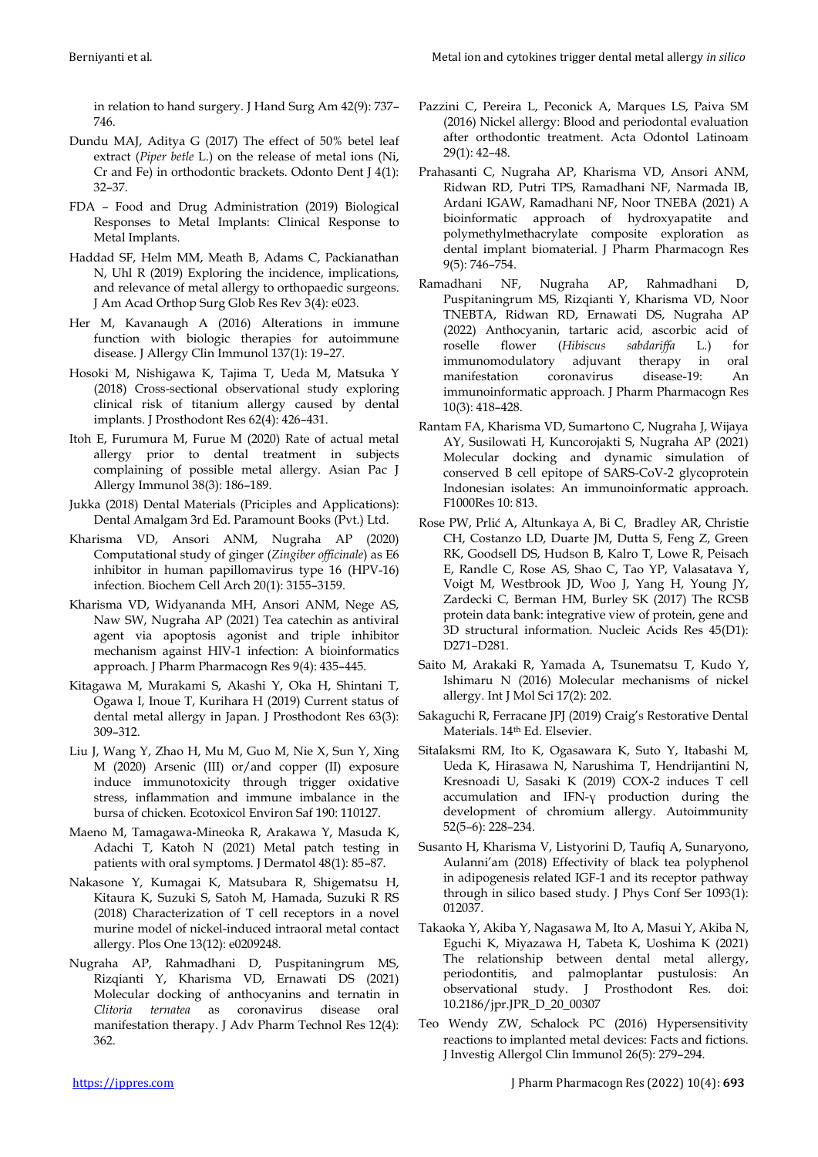in relation to hand surgery. J Hand Surg Am 42(9): 737– 746.

- Dundu MAJ, Aditya G (2017) The effect of 50% betel leaf extract (*Piper betle* L.) on the release of metal ions (Ni, Cr and Fe) in orthodontic brackets. Odonto Dent J 4(1): 32–37.
- FDA Food and Drug Administration (2019) Biological Responses to Metal Implants: Clinical Response to Metal Implants.
- Haddad SF, Helm MM, Meath B, Adams C, Packianathan N, Uhl R (2019) Exploring the incidence, implications, and relevance of metal allergy to orthopaedic surgeons. J Am Acad Orthop Surg Glob Res Rev 3(4): e023.
- Her M, Kavanaugh A (2016) Alterations in immune function with biologic therapies for autoimmune disease. J Allergy Clin Immunol 137(1): 19–27.
- Hosoki M, Nishigawa K, Tajima T, Ueda M, Matsuka Y (2018) Cross-sectional observational study exploring clinical risk of titanium allergy caused by dental implants. J Prosthodont Res 62(4): 426–431.
- Itoh E, Furumura M, Furue M (2020) Rate of actual metal allergy prior to dental treatment in subjects complaining of possible metal allergy. Asian Pac J Allergy Immunol 38(3): 186–189.
- Jukka (2018) Dental Materials (Priciples and Applications): Dental Amalgam 3rd Ed. Paramount Books (Pvt.) Ltd.
- Kharisma VD, Ansori ANM, Nugraha AP (2020) Computational study of ginger (*Zingiber officinale*) as E6 inhibitor in human papillomavirus type 16 (HPV-16) infection. Biochem Cell Arch 20(1): 3155–3159.
- Kharisma VD, Widyananda MH, Ansori ANM, Nege AS, Naw SW, Nugraha AP (2021) Tea catechin as antiviral agent via apoptosis agonist and triple inhibitor mechanism against HIV-1 infection: A bioinformatics approach. J Pharm Pharmacogn Res 9(4): 435–445.
- Kitagawa M, Murakami S, Akashi Y, Oka H, Shintani T, Ogawa I, Inoue T, Kurihara H (2019) Current status of dental metal allergy in Japan. J Prosthodont Res 63(3): 309–312.
- Liu J, Wang Y, Zhao H, Mu M, Guo M, Nie X, Sun Y, Xing M (2020) Arsenic (III) or/and copper (II) exposure induce immunotoxicity through trigger oxidative stress, inflammation and immune imbalance in the bursa of chicken. Ecotoxicol Environ Saf 190: 110127.
- Maeno M, Tamagawa-Mineoka R, Arakawa Y, Masuda K, Adachi T, Katoh N (2021) Metal patch testing in patients with oral symptoms. J Dermatol 48(1): 85–87.
- Nakasone Y, Kumagai K, Matsubara R, Shigematsu H, Kitaura K, Suzuki S, Satoh M, Hamada, Suzuki R RS (2018) Characterization of T cell receptors in a novel murine model of nickel-induced intraoral metal contact allergy. Plos One 13(12): e0209248.
- Nugraha AP, Rahmadhani D, Puspitaningrum MS, Rizqianti Y, Kharisma VD, Ernawati DS (2021) Molecular docking of anthocyanins and ternatin in *Clitoria ternatea* as coronavirus disease oral manifestation therapy. J Adv Pharm Technol Res 12(4): 362.
- Pazzini C, Pereira L, Peconick A, Marques LS, Paiva SM (2016) Nickel allergy: Blood and periodontal evaluation after orthodontic treatment. Acta Odontol Latinoam 29(1): 42–48.
- Prahasanti C, Nugraha AP, Kharisma VD, Ansori ANM, Ridwan RD, Putri TPS, Ramadhani NF, Narmada IB, Ardani IGAW, Ramadhani NF, Noor TNEBA (2021) A bioinformatic approach of hydroxyapatite and polymethylmethacrylate composite exploration as dental implant biomaterial. J Pharm Pharmacogn Res 9(5): 746–754.
- Ramadhani NF, Nugraha AP, Rahmadhani D, Puspitaningrum MS, Rizqianti Y, Kharisma VD, Noor TNEBTA, Ridwan RD, Ernawati DS, Nugraha AP (2022) Anthocyanin, tartaric acid, ascorbic acid of roselle flower (*Hibiscus sabdariffa* L.) for immunomodulatory adjuvant therapy in oral manifestation coronavirus disease-19: An immunoinformatic approach. J Pharm Pharmacogn Res 10(3): 418–428.
- Rantam FA, Kharisma VD, Sumartono C, Nugraha J, Wijaya AY, Susilowati H, Kuncorojakti S, Nugraha AP (2021) Molecular docking and dynamic simulation of conserved B cell epitope of SARS-CoV-2 glycoprotein Indonesian isolates: An immunoinformatic approach. F1000Res 10: 813.
- Rose PW, Prlić A, Altunkaya A, Bi C, Bradley AR, Christie CH, Costanzo LD, Duarte JM, Dutta S, Feng Z, Green RK, Goodsell DS, Hudson B, Kalro T, Lowe R, Peisach E, Randle C, Rose AS, Shao C, Tao YP, Valasatava Y, Voigt M, Westbrook JD, Woo J, Yang H, Young JY, Zardecki C, Berman HM, Burley SK (2017) The RCSB protein data bank: integrative view of protein, gene and 3D structural information. Nucleic Acids Res 45(D1): D271–D281.
- Saito M, Arakaki R, Yamada A, Tsunematsu T, Kudo Y, Ishimaru N (2016) Molecular mechanisms of nickel allergy. Int J Mol Sci 17(2): 202.
- Sakaguchi R, Ferracane JPJ (2019) Craig's Restorative Dental Materials. 14th Ed. Elsevier.
- Sitalaksmi RM, Ito K, Ogasawara K, Suto Y, Itabashi M, Ueda K, Hirasawa N, Narushima T, Hendrijantini N, Kresnoadi U, Sasaki K (2019) COX-2 induces T cell accumulation and IFN-γ production during the development of chromium allergy. Autoimmunity 52(5–6): 228–234.
- Susanto H, Kharisma V, Listyorini D, Taufiq A, Sunaryono, Aulanni'am (2018) Effectivity of black tea polyphenol in adipogenesis related IGF-1 and its receptor pathway through in silico based study. J Phys Conf Ser 1093(1): 012037.
- Takaoka Y, Akiba Y, Nagasawa M, Ito A, Masui Y, Akiba N, Eguchi K, Miyazawa H, Tabeta K, Uoshima K (2021) The relationship between dental metal allergy, periodontitis, and palmoplantar pustulosis: An observational study. J Prosthodont Res. doi: 10.2186/jpr.JPR\_D\_20\_00307
- Teo Wendy ZW, Schalock PC (2016) Hypersensitivity reactions to implanted metal devices: Facts and fictions. J Investig Allergol Clin Immunol 26(5): 279–294.